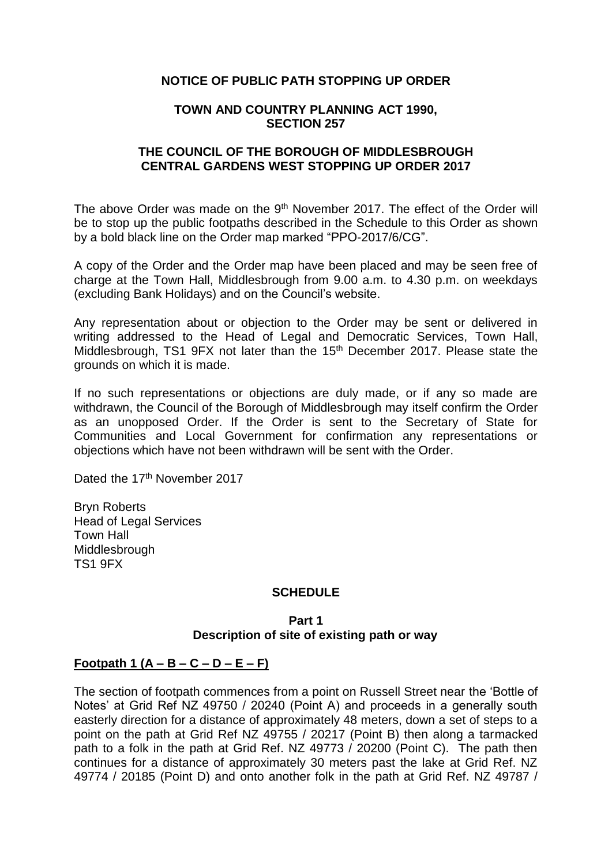## **NOTICE OF PUBLIC PATH STOPPING UP ORDER**

#### **TOWN AND COUNTRY PLANNING ACT 1990, SECTION 257**

## **THE COUNCIL OF THE BOROUGH OF MIDDLESBROUGH CENTRAL GARDENS WEST STOPPING UP ORDER 2017**

The above Order was made on the 9<sup>th</sup> November 2017. The effect of the Order will be to stop up the public footpaths described in the Schedule to this Order as shown by a bold black line on the Order map marked "PPO-2017/6/CG".

A copy of the Order and the Order map have been placed and may be seen free of charge at the Town Hall, Middlesbrough from 9.00 a.m. to 4.30 p.m. on weekdays (excluding Bank Holidays) and on the Council's website.

Any representation about or objection to the Order may be sent or delivered in writing addressed to the Head of Legal and Democratic Services, Town Hall, Middlesbrough, TS1 9FX not later than the 15<sup>th</sup> December 2017. Please state the grounds on which it is made.

If no such representations or objections are duly made, or if any so made are withdrawn, the Council of the Borough of Middlesbrough may itself confirm the Order as an unopposed Order. If the Order is sent to the Secretary of State for Communities and Local Government for confirmation any representations or objections which have not been withdrawn will be sent with the Order.

Dated the 17<sup>th</sup> November 2017

Bryn Roberts Head of Legal Services Town Hall **Middlesbrough** TS1 9FX

# **SCHEDULE**

## **Part 1 Description of site of existing path or way**

#### **Footpath 1 (A – B – C – D – E – F)**

The section of footpath commences from a point on Russell Street near the 'Bottle of Notes' at Grid Ref NZ 49750 / 20240 (Point A) and proceeds in a generally south easterly direction for a distance of approximately 48 meters, down a set of steps to a point on the path at Grid Ref NZ 49755 / 20217 (Point B) then along a tarmacked path to a folk in the path at Grid Ref. NZ 49773 / 20200 (Point C). The path then continues for a distance of approximately 30 meters past the lake at Grid Ref. NZ 49774 / 20185 (Point D) and onto another folk in the path at Grid Ref. NZ 49787 /